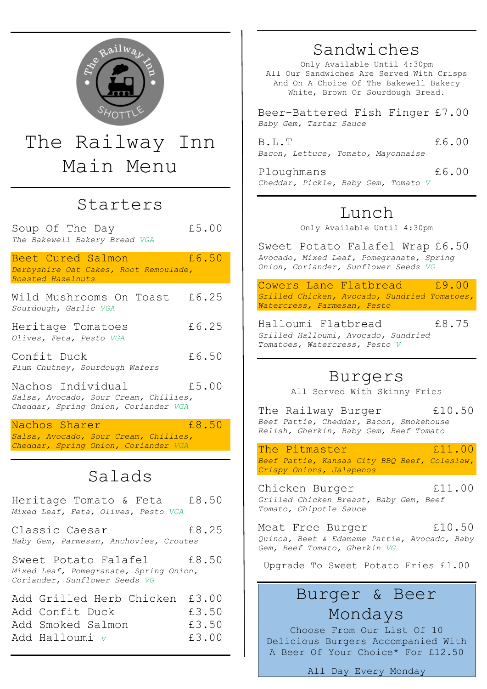

# The Railway Inn Main Menu

#### Starters

Soup Of The Day 65.00 *The Bakewell Bakery Bread VGA*

Beet Cured Salmon 16.50 *Derbyshire Oat Cakes, Root Remoulade, Roasted Hazelnuts*

Wild Mushrooms On Toast £6.25 *Sourdough, Garlic VGA*

Heritage Tomatoes 6.25 *Olives, Feta, Pesto VGA*

Confit Duck  $£6.50$ *Plum Chutney, Sourdough Wafers*

Nachos Individual £5.00 *Salsa, Avocado, Sour Cream, Chillies, Cheddar, Spring Onion, Coriander VGA*

Nachos Sharer **E8.50** *Salsa, Avocado, Sour Cream, Chillies, Cheddar, Spring Onion, Coriander VGA*

## Salads

Heritage Tomato & Feta £8.50 *Mixed Leaf, Feta, Olives, Pesto VGA* Classic Caesar 18.25 *Baby Gem, Parmesan, Anchovies, Croutes* Sweet Potato Falafel 18.50 *Mixed Leaf, Pomegranate, Spring Onion, Coriander, Sunflower Seeds VG* Add Grilled Herb Chicken £3.00 Add Confit Duck  $£3.50$ Add Smoked Salmon £3.50 Add Halloumi *v* £3.00

## Sandwiches

Only Available Until 4:30pm All Our Sandwiches Are Served With Crisps And On A Choice Of The Bakewell Bakery White, Brown Or Sourdough Bread.

Beer-Battered Fish Finger £7.00 *Baby Gem, Tartar Sauce*

B.L.T £6.00 *Bacon, Lettuce, Tomato, Mayonnaise*

Ploughmans  $£6.00$ *Cheddar, Pickle, Baby Gem, Tomato V*

## Lunch

Only Available Until 4:30pm

Sweet Potato Falafel Wrap £6.50 *Avocado, Mixed Leaf, Pomegranate, Spring Onion, Coriander, Sunflower Seeds VG*

Cowers Lane Flatbread £9.00 *Grilled Chicken, Avocado, Sundried Tomatoes, Watercress, Parmesan, Pesto*

Halloumi Flatbread £8.75 *Grilled Halloumi, Avocado, Sundried Tomatoes, Watercress, Pesto V*

#### Burgers

All Served With Skinny Fries

The Railway Burger 10.50 *Beef Pattie, Cheddar, Bacon, Smokehouse Relish, Gherkin, Baby Gem, Beef Tomato*

The Pitmaster 611.00 *Beef Pattie, Kansas City BBQ Beef, Coleslaw, Crispy Onions, Jalapenos*

Chicken Burger 11.00 *Grilled Chicken Breast, Baby Gem, Beef Tomato, Chipotle Sauce*

Meat Free Burger 610.50 *Quinoa, Beet & Edamame Pattie, Avocado, Baby Gem, Beef Tomato, Gherkin VG*

Upgrade To Sweet Potato Fries £1.00

## Burger & Beer Mondays

Choose From Our List Of 10 Delicious Burgers Accompanied With A Beer Of Your Choice\* For £12.50

All Day Every Monday